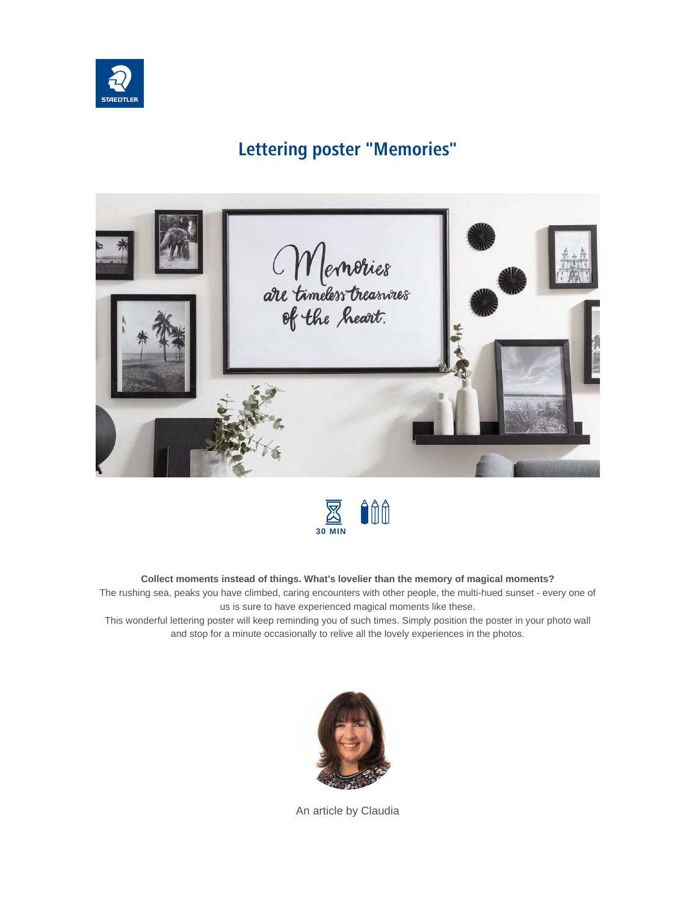

### **Lettering poster "Memories"**





#### **Collect moments instead of things. What's lovelier than the memory of magical moments?**

The rushing sea, peaks you have climbed, caring encounters with other people, the multi-hued sunset - every one of us is sure to have experienced magical moments like these.

This wonderful lettering poster will keep reminding you of such times. Simply position the poster in your photo wall and stop for a minute occasionally to relive all the lovely experiences in the photos.



An article by Claudia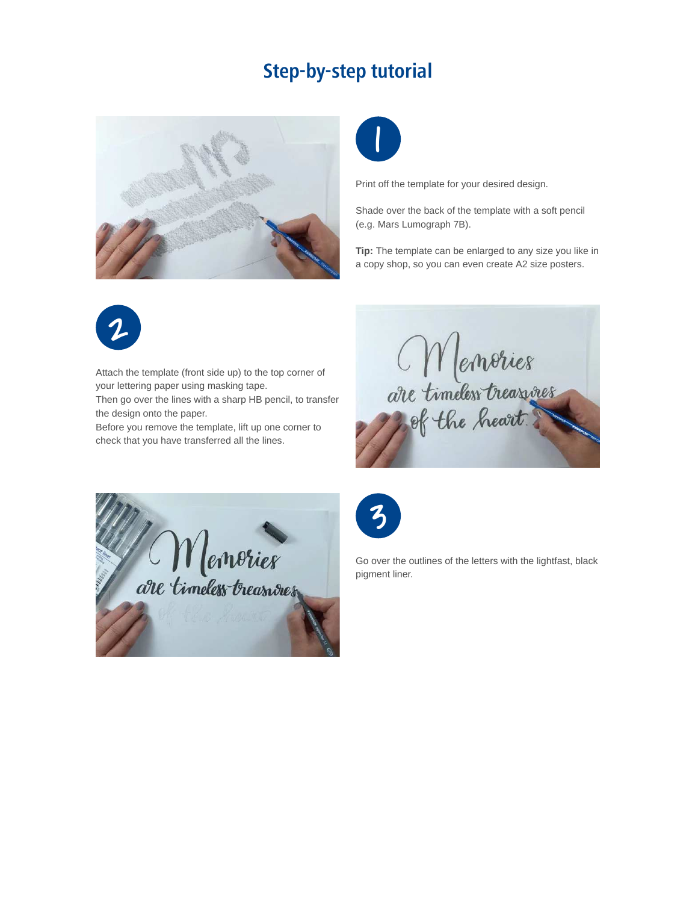## **Step-by-step tutorial**





Print off the template for your desired design.

Shade over the back of the template with a soft pencil (e.g. Mars Lumograph 7B).

**Tip:** The template can be enlarged to any size you like in a copy shop, so you can even create A2 size posters.



Attach the template (front side up) to the top corner of your lettering paper using masking tape.

Then go over the lines with a sharp HB pencil, to transfer the design onto the paper.

Before you remove the template, lift up one corner to check that you have transferred all the lines.

Memories<br>are timeless treasures





Go over the outlines of the letters with the lightfast, black pigment liner.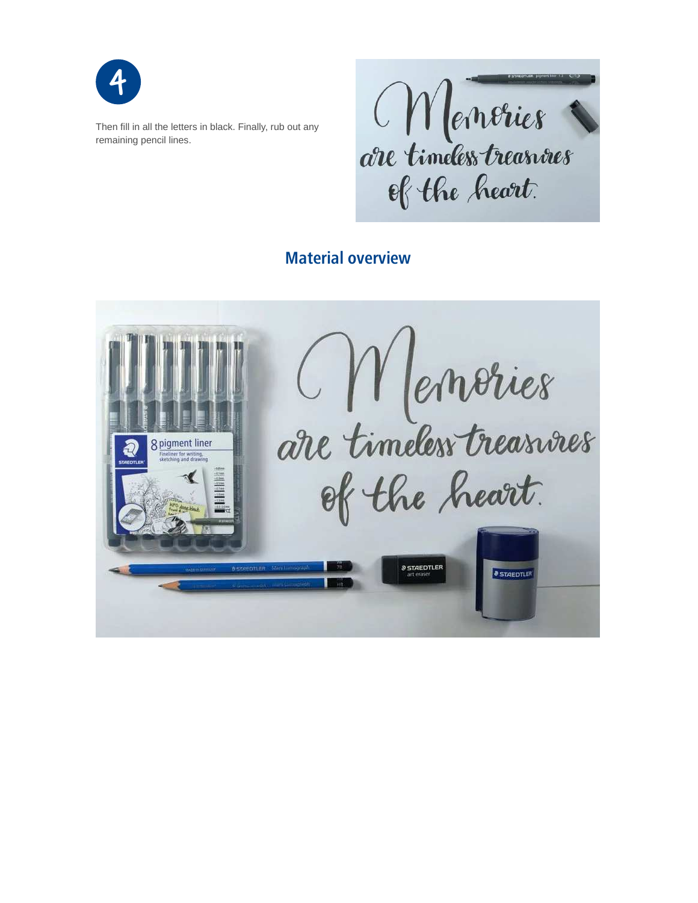

Then fill in all the letters in black. Finally, rub out any remaining pencil lines.

Menories are timeless treasures of the heart.

### **Material overview**